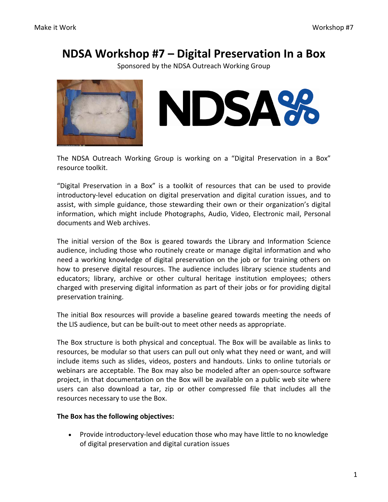# **NDSA Workshop #7 – Digital Preservation In a Box**

Sponsored by the NDSA Outreach Working Group





The NDSA Outreach Working Group is working on a "Digital Preservation in a Box" resource toolkit.

"Digital Preservation in a Box" is a toolkit of resources that can be used to provide introductory‐level education on digital preservation and digital curation issues, and to assist, with simple guidance, those stewarding their own or their organization's digital information, which might include Photographs, Audio, Video, Electronic mail, Personal documents and Web archives.

The initial version of the Box is geared towards the Library and Information Science audience, including those who routinely create or manage digital information and who need a working knowledge of digital preservation on the job or for training others on how to preserve digital resources. The audience includes library science students and educators; library, archive or other cultural heritage institution employees; others charged with preserving digital information as part of their jobs or for providing digital preservation training.

The initial Box resources will provide a baseline geared towards meeting the needs of the LIS audience, but can be built‐out to meet other needs as appropriate.

The Box structure is both physical and conceptual. The Box will be available as links to resources, be modular so that users can pull out only what they need or want, and will include items such as slides, videos, posters and handouts. Links to online tutorials or webinars are acceptable. The Box may also be modeled after an open‐source software project, in that documentation on the Box will be available on a public web site where users can also download a tar, zip or other compressed file that includes all the resources necessary to use the Box.

# **The Box has the following objectives:**

• Provide introductory-level education those who may have little to no knowledge of digital preservation and digital curation issues